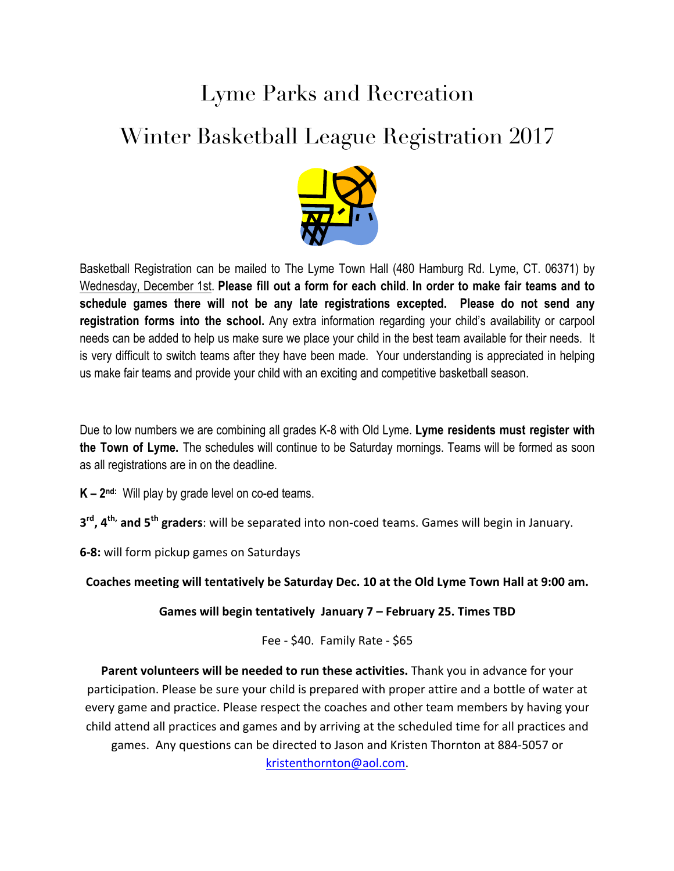## Lyme Parks and Recreation

## Winter Basketball League Registration 2017



Basketball Registration can be mailed to The Lyme Town Hall (480 Hamburg Rd. Lyme, CT. 06371) by Wednesday, December 1st. **Please fill out a form for each child**. **In order to make fair teams and to schedule games there will not be any late registrations excepted. Please do not send any registration forms into the school.** Any extra information regarding your child's availability or carpool needs can be added to help us make sure we place your child in the best team available for their needs. It is very difficult to switch teams after they have been made. Your understanding is appreciated in helping us make fair teams and provide your child with an exciting and competitive basketball season.

Due to low numbers we are combining all grades K-8 with Old Lyme. **Lyme residents must register with the Town of Lyme.** The schedules will continue to be Saturday mornings. Teams will be formed as soon as all registrations are in on the deadline.

**K – 2nd:** Will play by grade level on co-ed teams.

**3rd, 4th, and 5th graders**: will be separated into non-coed teams. Games will begin in January.

**6-8:** will form pickup games on Saturdays

Coaches meeting will tentatively be Saturday Dec. 10 at the Old Lyme Town Hall at 9:00 am.

**Games will begin tentatively January 7 - February 25. Times TBD** 

Fee -  $$40.$  Family Rate -  $$65$ 

Parent volunteers will be needed to run these activities. Thank you in advance for your participation. Please be sure your child is prepared with proper attire and a bottle of water at every game and practice. Please respect the coaches and other team members by having your child attend all practices and games and by arriving at the scheduled time for all practices and games. Any questions can be directed to Jason and Kristen Thornton at 884-5057 or kristenthornton@aol.com.